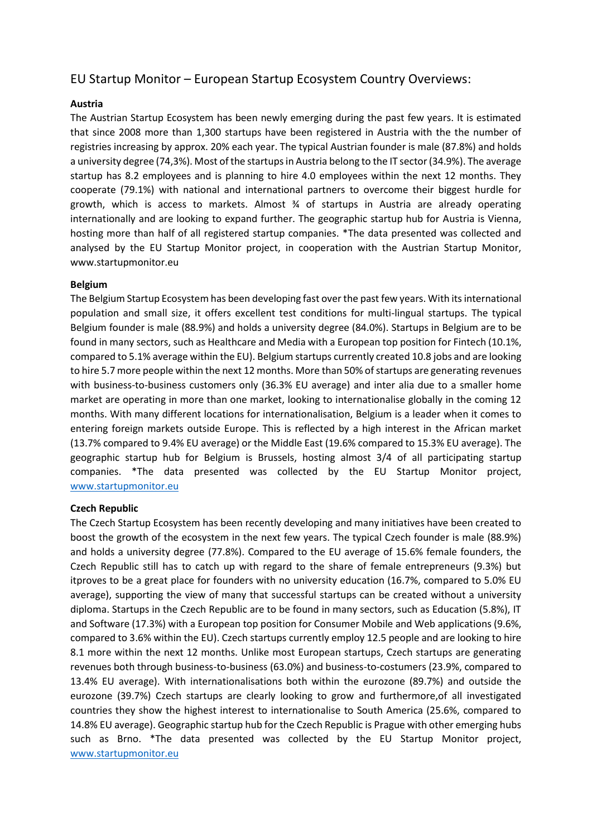# EU Startup Monitor – European Startup Ecosystem Country Overviews:

# **Austria**

The Austrian Startup Ecosystem has been newly emerging during the past few years. It is estimated that since 2008 more than 1,300 startups have been registered in Austria with the the number of registries increasing by approx. 20% each year. The typical Austrian founder is male (87.8%) and holds a university degree (74,3%). Most of the startups in Austria belong to the IT sector (34.9%). The average startup has 8.2 employees and is planning to hire 4.0 employees within the next 12 months. They cooperate (79.1%) with national and international partners to overcome their biggest hurdle for growth, which is access to markets. Almost  $\frac{3}{4}$  of startups in Austria are already operating internationally and are looking to expand further. The geographic startup hub for Austria is Vienna, hosting more than half of all registered startup companies. \*The data presented was collected and analysed by the EU Startup Monitor project, in cooperation with the Austrian Startup Monitor, www.startupmonitor.eu

## **Belgium**

The Belgium Startup Ecosystem has been developing fast over the past few years. With its international population and small size, it offers excellent test conditions for multi-lingual startups. The typical Belgium founder is male (88.9%) and holds a university degree (84.0%). Startups in Belgium are to be found in many sectors, such as Healthcare and Media with a European top position for Fintech (10.1%, compared to 5.1% average within the EU). Belgium startups currently created 10.8 jobs and are looking to hire 5.7 more people within the next 12 months. More than 50% of startups are generating revenues with business-to-business customers only (36.3% EU average) and inter alia due to a smaller home market are operating in more than one market, looking to internationalise globally in the coming 12 months. With many different locations for internationalisation, Belgium is a leader when it comes to entering foreign markets outside Europe. This is reflected by a high interest in the African market (13.7% compared to 9.4% EU average) or the Middle East (19.6% compared to 15.3% EU average). The geographic startup hub for Belgium is Brussels, hosting almost 3/4 of all participating startup companies. \*The data presented was collected by the EU Startup Monitor project, [www.startupmonitor.eu](http://www.startupmonitor.eu/)

## **Czech Republic**

The Czech Startup Ecosystem has been recently developing and many initiatives have been created to boost the growth of the ecosystem in the next few years. The typical Czech founder is male (88.9%) and holds a university degree (77.8%). Compared to the EU average of 15.6% female founders, the Czech Republic still has to catch up with regard to the share of female entrepreneurs (9.3%) but itproves to be a great place for founders with no university education (16.7%, compared to 5.0% EU average), supporting the view of many that successful startups can be created without a university diploma. Startups in the Czech Republic are to be found in many sectors, such as Education (5.8%), IT and Software (17.3%) with a European top position for Consumer Mobile and Web applications (9.6%, compared to 3.6% within the EU). Czech startups currently employ 12.5 people and are looking to hire 8.1 more within the next 12 months. Unlike most European startups, Czech startups are generating revenues both through business-to-business (63.0%) and business-to-costumers (23.9%, compared to 13.4% EU average). With internationalisations both within the eurozone (89.7%) and outside the eurozone (39.7%) Czech startups are clearly looking to grow and furthermore,of all investigated countries they show the highest interest to internationalise to South America (25.6%, compared to 14.8% EU average). Geographic startup hub for the Czech Republic is Prague with other emerging hubs such as Brno. \*The data presented was collected by the EU Startup Monitor project, [www.startupmonitor.eu](http://www.startupmonitor.eu/)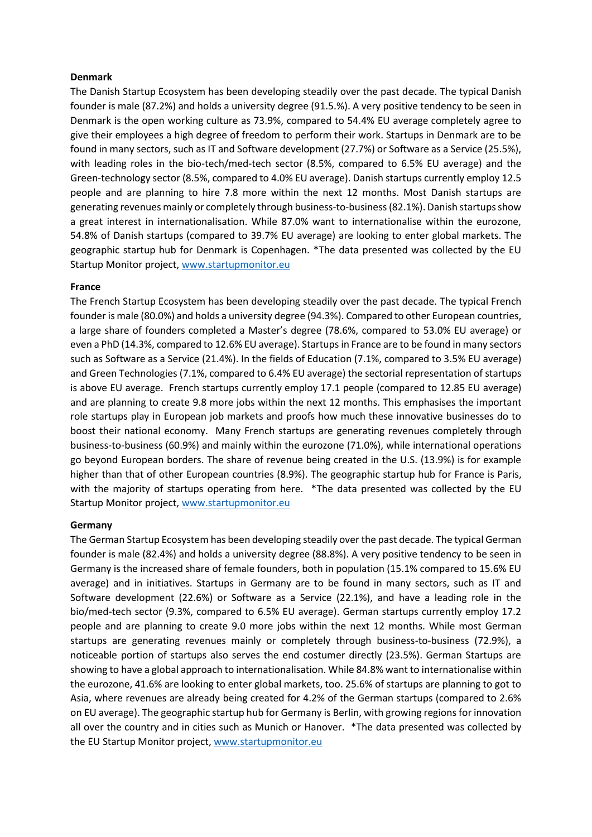#### **Denmark**

The Danish Startup Ecosystem has been developing steadily over the past decade. The typical Danish founder is male (87.2%) and holds a university degree (91.5.%). A very positive tendency to be seen in Denmark is the open working culture as 73.9%, compared to 54.4% EU average completely agree to give their employees a high degree of freedom to perform their work. Startups in Denmark are to be found in many sectors, such as IT and Software development (27.7%) or Software as a Service (25.5%), with leading roles in the bio-tech/med-tech sector (8.5%, compared to 6.5% EU average) and the Green-technology sector (8.5%, compared to 4.0% EU average). Danish startups currently employ 12.5 people and are planning to hire 7.8 more within the next 12 months. Most Danish startups are generating revenues mainly or completely through business-to-business (82.1%). Danish startups show a great interest in internationalisation. While 87.0% want to internationalise within the eurozone, 54.8% of Danish startups (compared to 39.7% EU average) are looking to enter global markets. The geographic startup hub for Denmark is Copenhagen. \*The data presented was collected by the EU Startup Monitor project, [www.startupmonitor.eu](http://www.startupmonitor.eu/)

#### **France**

The French Startup Ecosystem has been developing steadily over the past decade. The typical French founder is male (80.0%) and holds a university degree (94.3%). Compared to other European countries, a large share of founders completed a Master's degree (78.6%, compared to 53.0% EU average) or even a PhD (14.3%, compared to 12.6% EU average). Startups in France are to be found in many sectors such as Software as a Service (21.4%). In the fields of Education (7.1%, compared to 3.5% EU average) and Green Technologies (7.1%, compared to 6.4% EU average) the sectorial representation of startups is above EU average. French startups currently employ 17.1 people (compared to 12.85 EU average) and are planning to create 9.8 more jobs within the next 12 months. This emphasises the important role startups play in European job markets and proofs how much these innovative businesses do to boost their national economy. Many French startups are generating revenues completely through business-to-business (60.9%) and mainly within the eurozone (71.0%), while international operations go beyond European borders. The share of revenue being created in the U.S. (13.9%) is for example higher than that of other European countries (8.9%). The geographic startup hub for France is Paris, with the majority of startups operating from here. \*The data presented was collected by the EU Startup Monitor project, [www.startupmonitor.eu](http://www.startupmonitor.eu/)

#### **Germany**

The German Startup Ecosystem has been developing steadily over the past decade. The typical German founder is male (82.4%) and holds a university degree (88.8%). A very positive tendency to be seen in Germany is the increased share of female founders, both in population (15.1% compared to 15.6% EU average) and in initiatives. Startups in Germany are to be found in many sectors, such as IT and Software development (22.6%) or Software as a Service (22.1%), and have a leading role in the bio/med-tech sector (9.3%, compared to 6.5% EU average). German startups currently employ 17.2 people and are planning to create 9.0 more jobs within the next 12 months. While most German startups are generating revenues mainly or completely through business-to-business (72.9%), a noticeable portion of startups also serves the end costumer directly (23.5%). German Startups are showing to have a global approach to internationalisation. While 84.8% want to internationalise within the eurozone, 41.6% are looking to enter global markets, too. 25.6% of startups are planning to got to Asia, where revenues are already being created for 4.2% of the German startups (compared to 2.6% on EU average). The geographic startup hub for Germany is Berlin, with growing regions for innovation all over the country and in cities such as Munich or Hanover. \*The data presented was collected by the EU Startup Monitor project, [www.startupmonitor.eu](http://www.startupmonitor.eu/)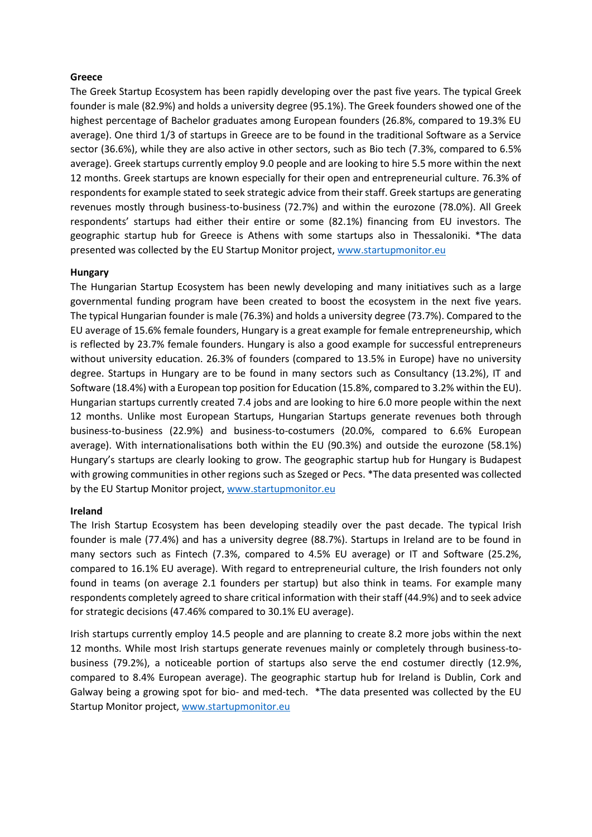# **Greece**

The Greek Startup Ecosystem has been rapidly developing over the past five years. The typical Greek founder is male (82.9%) and holds a university degree (95.1%). The Greek founders showed one of the highest percentage of Bachelor graduates among European founders (26.8%, compared to 19.3% EU average). One third 1/3 of startups in Greece are to be found in the traditional Software as a Service sector (36.6%), while they are also active in other sectors, such as Bio tech (7.3%, compared to 6.5% average). Greek startups currently employ 9.0 people and are looking to hire 5.5 more within the next 12 months. Greek startups are known especially for their open and entrepreneurial culture. 76.3% of respondents for example stated to seek strategic advice from their staff. Greek startups are generating revenues mostly through business-to-business (72.7%) and within the eurozone (78.0%). All Greek respondents' startups had either their entire or some (82.1%) financing from EU investors. The geographic startup hub for Greece is Athens with some startups also in Thessaloniki. \*The data presented was collected by the EU Startup Monitor project, [www.startupmonitor.eu](http://www.startupmonitor.eu/)

## **Hungary**

The Hungarian Startup Ecosystem has been newly developing and many initiatives such as a large governmental funding program have been created to boost the ecosystem in the next five years. The typical Hungarian founder is male (76.3%) and holds a university degree (73.7%). Compared to the EU average of 15.6% female founders, Hungary is a great example for female entrepreneurship, which is reflected by 23.7% female founders. Hungary is also a good example for successful entrepreneurs without university education. 26.3% of founders (compared to 13.5% in Europe) have no university degree. Startups in Hungary are to be found in many sectors such as Consultancy (13.2%), IT and Software (18.4%) with a European top position for Education (15.8%, compared to 3.2% within the EU). Hungarian startups currently created 7.4 jobs and are looking to hire 6.0 more people within the next 12 months. Unlike most European Startups, Hungarian Startups generate revenues both through business-to-business (22.9%) and business-to-costumers (20.0%, compared to 6.6% European average). With internationalisations both within the EU (90.3%) and outside the eurozone (58.1%) Hungary's startups are clearly looking to grow. The geographic startup hub for Hungary is Budapest with growing communities in other regions such as Szeged or Pecs. \*The data presented was collected by the EU Startup Monitor project, [www.startupmonitor.eu](http://www.startupmonitor.eu/)

## **Ireland**

The Irish Startup Ecosystem has been developing steadily over the past decade. The typical Irish founder is male (77.4%) and has a university degree (88.7%). Startups in Ireland are to be found in many sectors such as Fintech (7.3%, compared to 4.5% EU average) or IT and Software (25.2%, compared to 16.1% EU average). With regard to entrepreneurial culture, the Irish founders not only found in teams (on average 2.1 founders per startup) but also think in teams. For example many respondents completely agreed to share critical information with their staff (44.9%) and to seek advice for strategic decisions (47.46% compared to 30.1% EU average).

Irish startups currently employ 14.5 people and are planning to create 8.2 more jobs within the next 12 months. While most Irish startups generate revenues mainly or completely through business-tobusiness (79.2%), a noticeable portion of startups also serve the end costumer directly (12.9%, compared to 8.4% European average). The geographic startup hub for Ireland is Dublin, Cork and Galway being a growing spot for bio- and med-tech. \*The data presented was collected by the EU Startup Monitor project, [www.startupmonitor.eu](http://www.startupmonitor.eu/)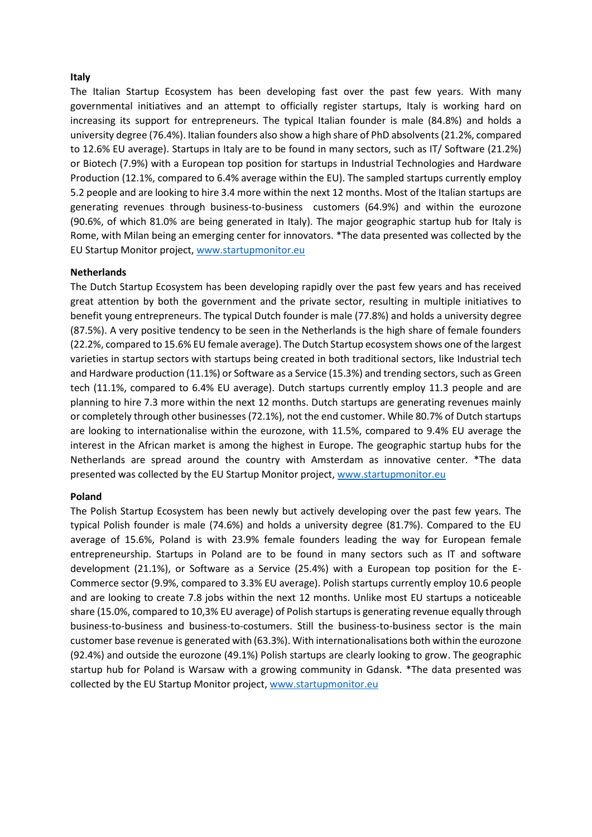## **Italy**

The Italian Startup Ecosystem has been developing fast over the past few years. With many governmental initiatives and an attempt to officially register startups, Italy is working hard on increasing its support for entrepreneurs. The typical Italian founder is male (84.8%) and holds a university degree (76.4%). Italian founders also show a high share of PhD absolvents (21.2%, compared to 12.6% EU average). Startups in Italy are to be found in many sectors, such as IT/ Software (21.2%) or Biotech (7.9%) with a European top position for startups in Industrial Technologies and Hardware Production (12.1%, compared to 6.4% average within the EU). The sampled startups currently employ 5.2 people and are looking to hire 3.4 more within the next 12 months. Most of the Italian startups are generating revenues through business-to-business customers (64.9%) and within the eurozone (90.6%, of which 81.0% are being generated in Italy). The major geographic startup hub for Italy is Rome, with Milan being an emerging center for innovators. \*The data presented was collected by the EU Startup Monitor project[, www.startupmonitor.eu](http://www.startupmonitor.eu/)

#### **Netherlands**

The Dutch Startup Ecosystem has been developing rapidly over the past few years and has received great attention by both the government and the private sector, resulting in multiple initiatives to benefit young entrepreneurs. The typical Dutch founder is male (77.8%) and holds a university degree (87.5%). A very positive tendency to be seen in the Netherlands is the high share of female founders (22.2%, compared to 15.6% EU female average). The Dutch Startup ecosystem shows one of the largest varieties in startup sectors with startups being created in both traditional sectors, like Industrial tech and Hardware production (11.1%) or Software as a Service (15.3%) and trending sectors, such as Green tech (11.1%, compared to 6.4% EU average). Dutch startups currently employ 11.3 people and are planning to hire 7.3 more within the next 12 months. Dutch startups are generating revenues mainly or completely through other businesses (72.1%), not the end customer. While 80.7% of Dutch startups are looking to internationalise within the eurozone, with 11.5%, compared to 9.4% EU average the interest in the African market is among the highest in Europe. The geographic startup hubs for the Netherlands are spread around the country with Amsterdam as innovative center. \*The data presented was collected by the EU Startup Monitor project, [www.startupmonitor.eu](http://www.startupmonitor.eu/)

#### **Poland**

The Polish Startup Ecosystem has been newly but actively developing over the past few years. The typical Polish founder is male (74.6%) and holds a university degree (81.7%). Compared to the EU average of 15.6%, Poland is with 23.9% female founders leading the way for European female entrepreneurship. Startups in Poland are to be found in many sectors such as IT and software development (21.1%), or Software as a Service (25.4%) with a European top position for the E-Commerce sector (9.9%, compared to 3.3% EU average). Polish startups currently employ 10.6 people and are looking to create 7.8 jobs within the next 12 months. Unlike most EU startups a noticeable share (15.0%, compared to 10,3% EU average) of Polish startups is generating revenue equally through business-to-business and business-to-costumers. Still the business-to-business sector is the main customer base revenue is generated with (63.3%). With internationalisations both within the eurozone (92.4%) and outside the eurozone (49.1%) Polish startups are clearly looking to grow. The geographic startup hub for Poland is Warsaw with a growing community in Gdansk. \*The data presented was collected by the EU Startup Monitor project, [www.startupmonitor.eu](http://www.startupmonitor.eu/)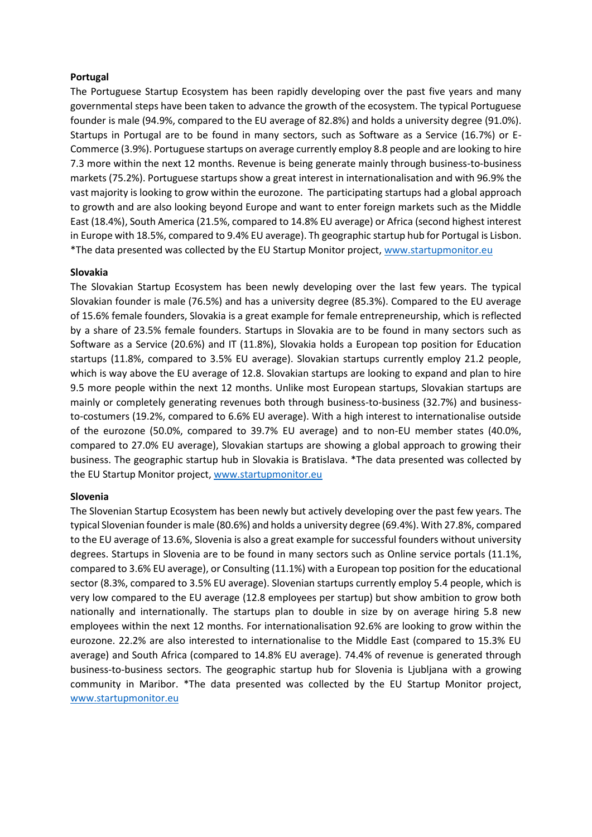## **Portugal**

The Portuguese Startup Ecosystem has been rapidly developing over the past five years and many governmental steps have been taken to advance the growth of the ecosystem. The typical Portuguese founder is male (94.9%, compared to the EU average of 82.8%) and holds a university degree (91.0%). Startups in Portugal are to be found in many sectors, such as Software as a Service (16.7%) or E-Commerce (3.9%). Portuguese startups on average currently employ 8.8 people and are looking to hire 7.3 more within the next 12 months. Revenue is being generate mainly through business-to-business markets (75.2%). Portuguese startups show a great interest in internationalisation and with 96.9% the vast majority is looking to grow within the eurozone. The participating startups had a global approach to growth and are also looking beyond Europe and want to enter foreign markets such as the Middle East (18.4%), South America (21.5%, compared to 14.8% EU average) or Africa (second highest interest in Europe with 18.5%, compared to 9.4% EU average). Th geographic startup hub for Portugal is Lisbon. \*The data presented was collected by the EU Startup Monitor project[, www.startupmonitor.eu](http://www.startupmonitor.eu/)

## **Slovakia**

The Slovakian Startup Ecosystem has been newly developing over the last few years. The typical Slovakian founder is male (76.5%) and has a university degree (85.3%). Compared to the EU average of 15.6% female founders, Slovakia is a great example for female entrepreneurship, which is reflected by a share of 23.5% female founders. Startups in Slovakia are to be found in many sectors such as Software as a Service (20.6%) and IT (11.8%), Slovakia holds a European top position for Education startups (11.8%, compared to 3.5% EU average). Slovakian startups currently employ 21.2 people, which is way above the EU average of 12.8. Slovakian startups are looking to expand and plan to hire 9.5 more people within the next 12 months. Unlike most European startups, Slovakian startups are mainly or completely generating revenues both through business-to-business (32.7%) and businessto-costumers (19.2%, compared to 6.6% EU average). With a high interest to internationalise outside of the eurozone (50.0%, compared to 39.7% EU average) and to non-EU member states (40.0%, compared to 27.0% EU average), Slovakian startups are showing a global approach to growing their business. The geographic startup hub in Slovakia is Bratislava. \*The data presented was collected by the EU Startup Monitor project, [www.startupmonitor.eu](http://www.startupmonitor.eu/)

## **Slovenia**

The Slovenian Startup Ecosystem has been newly but actively developing over the past few years. The typical Slovenian founder is male (80.6%) and holds a university degree (69.4%). With 27.8%, compared to the EU average of 13.6%, Slovenia is also a great example for successful founders without university degrees. Startups in Slovenia are to be found in many sectors such as Online service portals (11.1%, compared to 3.6% EU average), or Consulting (11.1%) with a European top position for the educational sector (8.3%, compared to 3.5% EU average). Slovenian startups currently employ 5.4 people, which is very low compared to the EU average (12.8 employees per startup) but show ambition to grow both nationally and internationally. The startups plan to double in size by on average hiring 5.8 new employees within the next 12 months. For internationalisation 92.6% are looking to grow within the eurozone. 22.2% are also interested to internationalise to the Middle East (compared to 15.3% EU average) and South Africa (compared to 14.8% EU average). 74.4% of revenue is generated through business-to-business sectors. The geographic startup hub for Slovenia is Ljubljana with a growing community in Maribor. \*The data presented was collected by the EU Startup Monitor project, [www.startupmonitor.eu](http://www.startupmonitor.eu/)